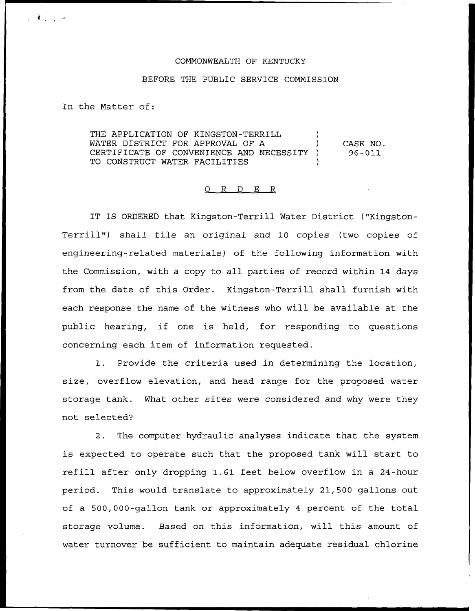## COMMONWEALTH OF KENTUCKY

## BEFORE THE PUBLIC SERVICE COMMISSION

In the Matter of:

 $\mathcal{L}$  , where  $\mathcal{L}$ 

THE APPLICATION OF KINGSTON-TERRILL WATER DISTRICT FOR APPROVAL OF A CERTIFICATE OF CONVENIENCE AND NECESSITY ) TO CONSTRUCT WATER FACILITIES CASE NO. 96 —011

## 0 R <sup>D</sup> E R

IT IS ORDERED that Kingston-Terrill Water District ("Kingston-Terrill") shall file an original and 10 copies (two copies of engineering-related materials) of the following information with the Commission, with a copy to all parties of record within 14 days from the date of this Order. Kingston-Terrill shall furnish with each response the name of the witness who will be available at the public hearing, if one is held, for responding to questions concerning each item of information requested.

1. Provide the criteria used in determining the location, size, overflow elevation, and head range for the proposed water storage tank. What other sites were considered and why were they not selected?

2. The computer hydraulic analyses indicate that the system is expected to operate such that the proposed tank will start to refill after only dropping 1.61 feet below overflow in a 24-hour period. This would translate to approximately 21,500 gallons out of a 500,000-gallon tank or approximately <sup>4</sup> percent of the total storage volume. Based on this information, will this amount of water turnover be sufficient to maintain adequate residual chlorine